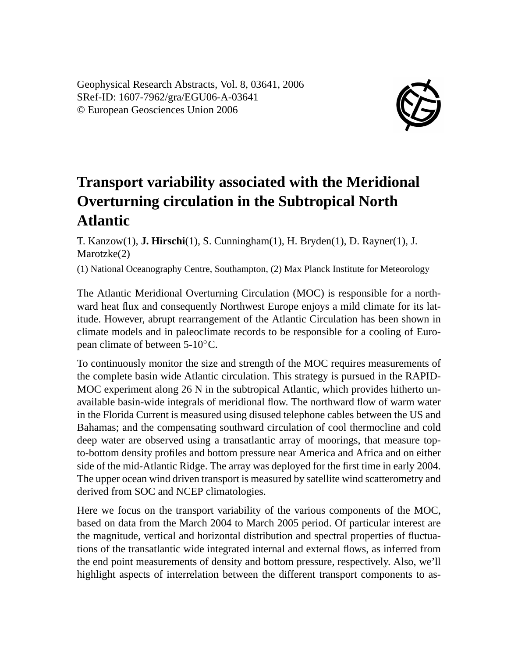Geophysical Research Abstracts, Vol. 8, 03641, 2006 SRef-ID: 1607-7962/gra/EGU06-A-03641 © European Geosciences Union 2006



## **Transport variability associated with the Meridional Overturning circulation in the Subtropical North Atlantic**

T. Kanzow(1), **J. Hirschi**(1), S. Cunningham(1), H. Bryden(1), D. Rayner(1), J. Marotzke(2)

(1) National Oceanography Centre, Southampton, (2) Max Planck Institute for Meteorology

The Atlantic Meridional Overturning Circulation (MOC) is responsible for a northward heat flux and consequently Northwest Europe enjoys a mild climate for its latitude. However, abrupt rearrangement of the Atlantic Circulation has been shown in climate models and in paleoclimate records to be responsible for a cooling of European climate of between 5-10◦C.

To continuously monitor the size and strength of the MOC requires measurements of the complete basin wide Atlantic circulation. This strategy is pursued in the RAPID-MOC experiment along 26 N in the subtropical Atlantic, which provides hitherto unavailable basin-wide integrals of meridional flow. The northward flow of warm water in the Florida Current is measured using disused telephone cables between the US and Bahamas; and the compensating southward circulation of cool thermocline and cold deep water are observed using a transatlantic array of moorings, that measure topto-bottom density profiles and bottom pressure near America and Africa and on either side of the mid-Atlantic Ridge. The array was deployed for the first time in early 2004. The upper ocean wind driven transport is measured by satellite wind scatterometry and derived from SOC and NCEP climatologies.

Here we focus on the transport variability of the various components of the MOC, based on data from the March 2004 to March 2005 period. Of particular interest are the magnitude, vertical and horizontal distribution and spectral properties of fluctuations of the transatlantic wide integrated internal and external flows, as inferred from the end point measurements of density and bottom pressure, respectively. Also, we'll highlight aspects of interrelation between the different transport components to as